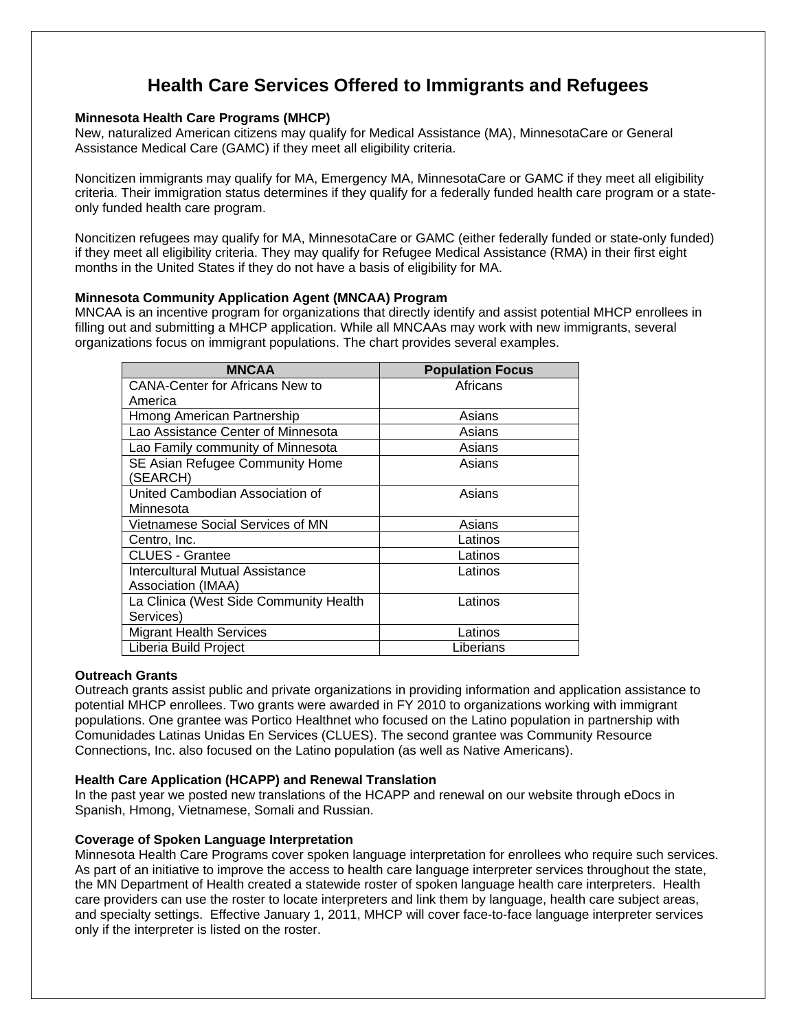# **Health Care Services Offered to Immigrants and Refugees**

## **Minnesota Health Care Programs (MHCP)**

New, naturalized American citizens may qualify for Medical Assistance (MA), MinnesotaCare or General Assistance Medical Care (GAMC) if they meet all eligibility criteria.

Noncitizen immigrants may qualify for MA, Emergency MA, MinnesotaCare or GAMC if they meet all eligibility criteria. Their immigration status determines if they qualify for a federally funded health care program or a stateonly funded health care program.

Noncitizen refugees may qualify for MA, MinnesotaCare or GAMC (either federally funded or state-only funded) if they meet all eligibility criteria. They may qualify for Refugee Medical Assistance (RMA) in their first eight months in the United States if they do not have a basis of eligibility for MA.

### **Minnesota Community Application Agent (MNCAA) Program**

MNCAA is an incentive program for organizations that directly identify and assist potential MHCP enrollees in filling out and submitting a MHCP application. While all MNCAAs may work with new immigrants, several organizations focus on immigrant populations. The chart provides several examples.

| <b>MNCAA</b>                           | <b>Population Focus</b> |
|----------------------------------------|-------------------------|
| <b>CANA-Center for Africans New to</b> | Africans                |
| America                                |                         |
| Hmong American Partnership             | Asians                  |
| Lao Assistance Center of Minnesota     | Asians                  |
| Lao Family community of Minnesota      | Asians                  |
| SE Asian Refugee Community Home        | Asians                  |
| (SEARCH)                               |                         |
| United Cambodian Association of        | Asians                  |
| Minnesota                              |                         |
| Vietnamese Social Services of MN       | Asians                  |
| Centro, Inc.                           | Latinos                 |
| <b>CLUES - Grantee</b>                 | Latinos                 |
| <b>Intercultural Mutual Assistance</b> | Latinos                 |
| Association (IMAA)                     |                         |
| La Clinica (West Side Community Health | Latinos                 |
| Services)                              |                         |
| <b>Migrant Health Services</b>         | Latinos                 |
| Liberia Build Project                  | Liberians               |

### **Outreach Grants**

Outreach grants assist public and private organizations in providing information and application assistance to potential MHCP enrollees. Two grants were awarded in FY 2010 to organizations working with immigrant populations. One grantee was Portico Healthnet who focused on the Latino population in partnership with Comunidades Latinas Unidas En Services (CLUES). The second grantee was Community Resource Connections, Inc. also focused on the Latino population (as well as Native Americans).

## **Health Care Application (HCAPP) and Renewal Translation**

In the past year we posted new translations of the HCAPP and renewal on our website through eDocs in Spanish, Hmong, Vietnamese, Somali and Russian.

## **Coverage of Spoken Language Interpretation**

Minnesota Health Care Programs cover spoken language interpretation for enrollees who require such services. As part of an initiative to improve the access to health care language interpreter services throughout the state, the MN Department of Health created a statewide roster of spoken language health care interpreters. Health care providers can use the roster to locate interpreters and link them by language, health care subject areas, and specialty settings. Effective January 1, 2011, MHCP will cover face-to-face language interpreter services only if the interpreter is listed on the roster.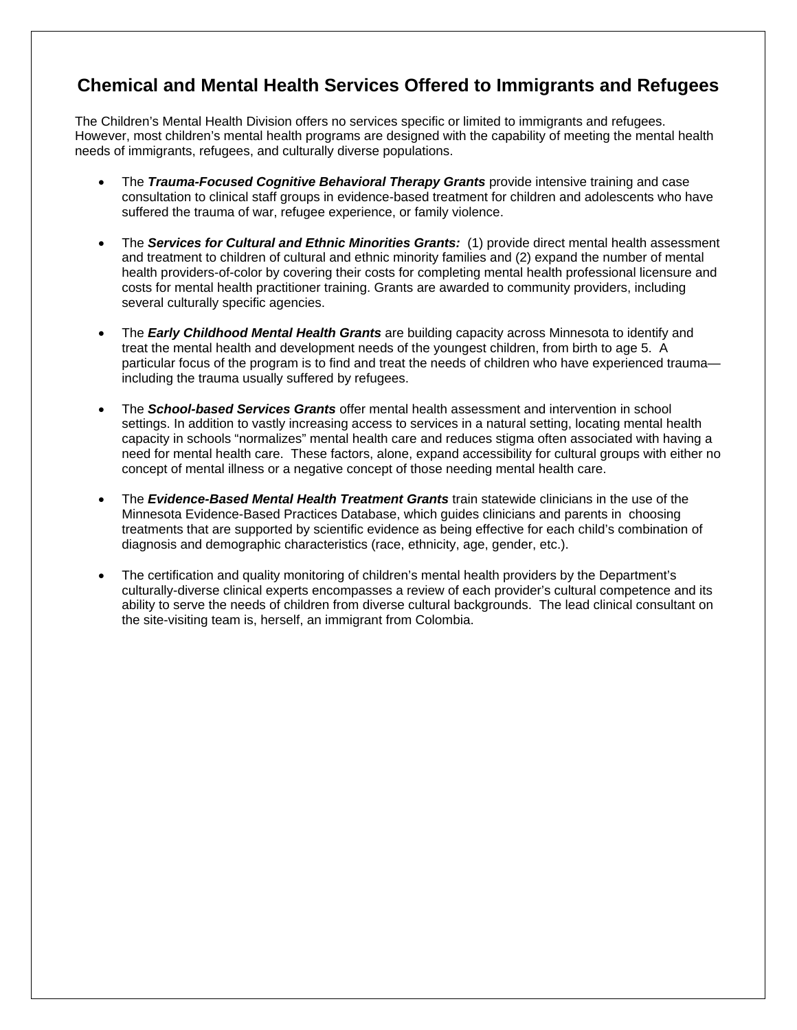## **Chemical and Mental Health Services Offered to Immigrants and Refugees**

The Children's Mental Health Division offers no services specific or limited to immigrants and refugees. However, most children's mental health programs are designed with the capability of meeting the mental health needs of immigrants, refugees, and culturally diverse populations.

- The *Trauma-Focused Cognitive Behavioral Therapy Grants* provide intensive training and case consultation to clinical staff groups in evidence-based treatment for children and adolescents who have suffered the trauma of war, refugee experience, or family violence.
- The **Services for Cultural and Ethnic Minorities Grants:** (1) provide direct mental health assessment and treatment to children of cultural and ethnic minority families and (2) expand the number of mental health providers-of-color by covering their costs for completing mental health professional licensure and costs for mental health practitioner training. Grants are awarded to community providers, including several culturally specific agencies.
- The *Early Childhood Mental Health Grants* are building capacity across Minnesota to identify and treat the mental health and development needs of the youngest children, from birth to age 5. A particular focus of the program is to find and treat the needs of children who have experienced trauma including the trauma usually suffered by refugees.
- The *School-based Services Grants* offer mental health assessment and intervention in school settings. In addition to vastly increasing access to services in a natural setting, locating mental health capacity in schools "normalizes" mental health care and reduces stigma often associated with having a need for mental health care. These factors, alone, expand accessibility for cultural groups with either no concept of mental illness or a negative concept of those needing mental health care.
- The *Evidence-Based Mental Health Treatment Grants* train statewide clinicians in the use of the Minnesota Evidence-Based Practices Database, which guides clinicians and parents in choosing treatments that are supported by scientific evidence as being effective for each child's combination of diagnosis and demographic characteristics (race, ethnicity, age, gender, etc.).
- The certification and quality monitoring of children's mental health providers by the Department's culturally-diverse clinical experts encompasses a review of each provider's cultural competence and its ability to serve the needs of children from diverse cultural backgrounds. The lead clinical consultant on the site-visiting team is, herself, an immigrant from Colombia.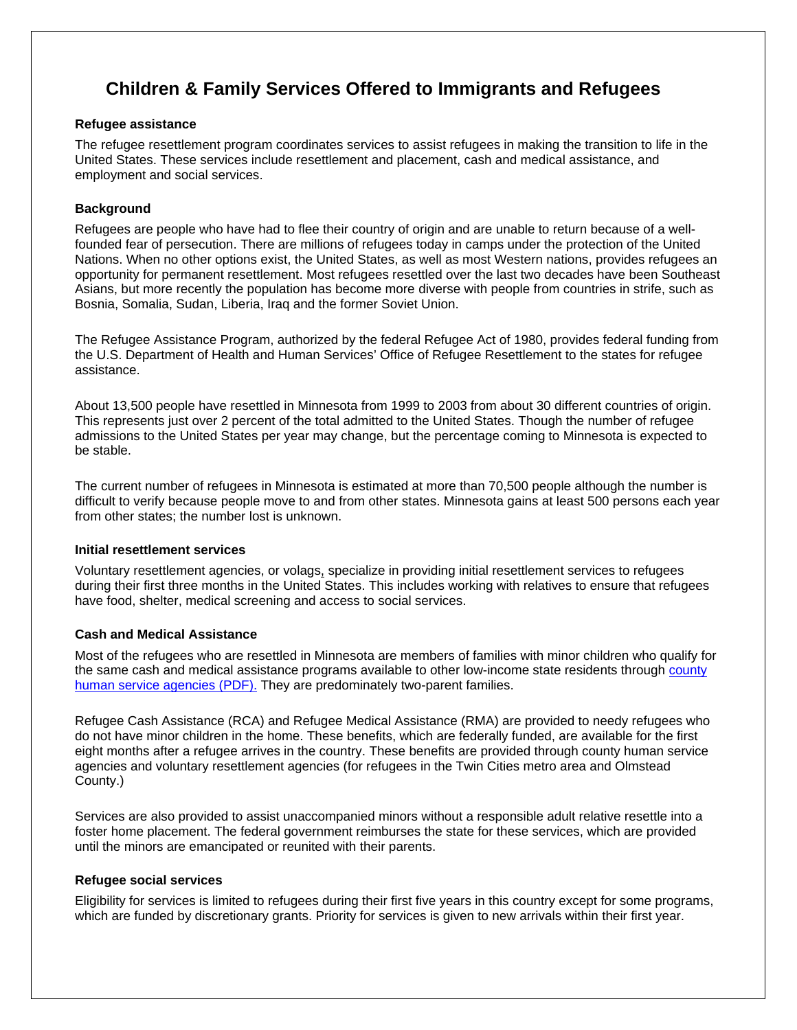## **Children & Family Services Offered to Immigrants and Refugees**

### **Refugee assistance**

The refugee resettlement program coordinates services to assist refugees in making the transition to life in the United States. These services include resettlement and placement, cash and medical assistance, and employment and social services.

### **Background**

Refugees are people who have had to flee their country of origin and are unable to return because of a wellfounded fear of persecution. There are millions of refugees today in camps under the protection of the United Nations. When no other options exist, the United States, as well as most Western nations, provides refugees an opportunity for permanent resettlement. Most refugees resettled over the last two decades have been Southeast Asians, but more recently the population has become more diverse with people from countries in strife, such as Bosnia, Somalia, Sudan, Liberia, Iraq and the former Soviet Union.

The Refugee Assistance Program, authorized by the federal Refugee Act of 1980, provides federal funding from the U.S. Department of Health and Human Services' Office of Refugee Resettlement to the states for refugee assistance.

About 13,500 people have resettled in Minnesota from 1999 to 2003 from about 30 different countries of origin. This represents just over 2 percent of the total admitted to the United States. Though the number of refugee admissions to the United States per year may change, but the percentage coming to Minnesota is expected to be stable.

The current number of refugees in Minnesota is estimated at more than 70,500 people although the number is difficult to verify because people move to and from other states. Minnesota gains at least 500 persons each year from other states; the number lost is unknown.

### **Initial resettlement services**

Voluntary resettlement agencies, or volags, specialize in providing initial resettlement services to refugees during their first three months in the United States. This includes working with relatives to ensure that refugees have food, shelter, medical screening and access to social services.

## **Cash and Medical Assistance**

Most of the refugees who are resettled in Minnesota are members of families with minor children who qualify for the same cash and medical assistance programs available to other low-income state residents through county human service agencies (PDF). They are predominately two-parent families.

Refugee Cash Assistance (RCA) and Refugee Medical Assistance (RMA) are provided to needy refugees who do not have minor children in the home. These benefits, which are federally funded, are available for the first eight months after a refugee arrives in the country. These benefits are provided through county human service agencies and voluntary resettlement agencies (for refugees in the Twin Cities metro area and Olmstead County.)

Services are also provided to assist unaccompanied minors without a responsible adult relative resettle into a foster home placement. The federal government reimburses the state for these services, which are provided until the minors are emancipated or reunited with their parents.

### **Refugee social services**

Eligibility for services is limited to refugees during their first five years in this country except for some programs, which are funded by discretionary grants. Priority for services is given to new arrivals within their first year.